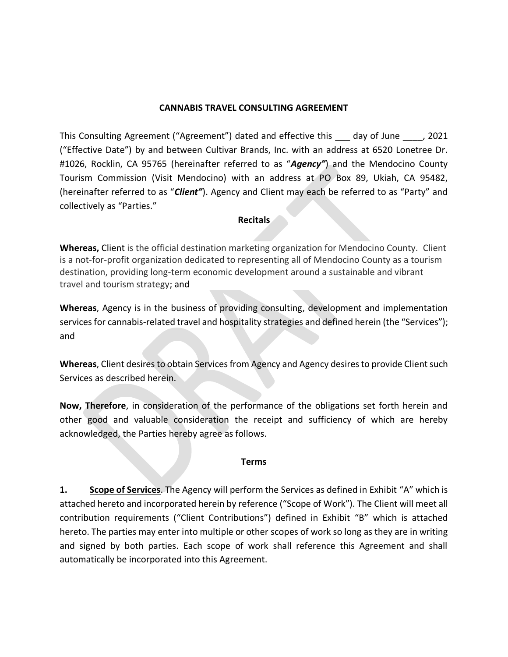#### **CANNABIS TRAVEL CONSULTING AGREEMENT**

This Consulting Agreement ("Agreement") dated and effective this \_\_\_ day of June \_\_\_\_, 2021 ("Effective Date") by and between Cultivar Brands, Inc. with an address at 6520 Lonetree Dr. #1026, Rocklin, CA 95765 (hereinafter referred to as "*Agency"*) and the Mendocino County Tourism Commission (Visit Mendocino) with an address at PO Box 89, Ukiah, CA 95482, (hereinafter referred to as "*Client"*). Agency and Client may each be referred to as "Party" and collectively as "Parties."

#### **Recitals**

**Whereas,** Client is the official destination marketing organization for Mendocino County. Client is a not-for-profit organization dedicated to representing all of Mendocino County as a tourism destination, providing long-term economic development around a sustainable and vibrant travel and tourism strategy; and

**Whereas**, Agency is in the business of providing consulting, development and implementation services for cannabis-related travel and hospitality strategies and defined herein (the "Services"); and

**Whereas**, Client desires to obtain Services from Agency and Agency desires to provide Client such Services as described herein.

**Now, Therefore**, in consideration of the performance of the obligations set forth herein and other good and valuable consideration the receipt and sufficiency of which are hereby acknowledged, the Parties hereby agree as follows.

#### **Terms**

**1. Scope of Services**. The Agency will perform the Services as defined in Exhibit "A" which is attached hereto and incorporated herein by reference ("Scope of Work"). The Client will meet all contribution requirements ("Client Contributions") defined in Exhibit "B" which is attached hereto. The parties may enter into multiple or other scopes of work so long as they are in writing and signed by both parties. Each scope of work shall reference this Agreement and shall automatically be incorporated into this Agreement.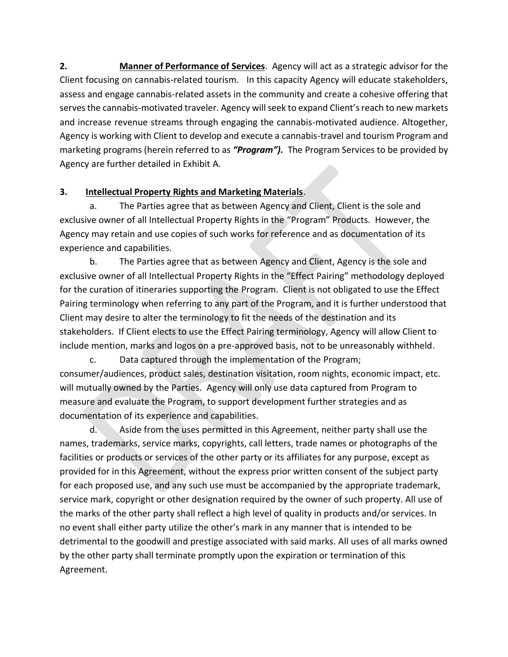**2. Manner of Performance of Services**. Agency will act as a strategic advisor for the Client focusing on cannabis-related tourism. In this capacity Agency will educate stakeholders, assess and engage cannabis-related assets in the community and create a cohesive offering that serves the cannabis-motivated traveler. Agency will seek to expand Client's reach to new markets and increase revenue streams through engaging the cannabis-motivated audience. Altogether, Agency is working with Client to develop and execute a cannabis-travel and tourism Program and marketing programs (herein referred to as *"Program").* The Program Services to be provided by Agency are further detailed in Exhibit A.

# **3. Intellectual Property Rights and Marketing Materials**.

a. The Parties agree that as between Agency and Client, Client is the sole and exclusive owner of all Intellectual Property Rights in the "Program" Products. However, the Agency may retain and use copies of such works for reference and as documentation of its experience and capabilities.

b. The Parties agree that as between Agency and Client, Agency is the sole and exclusive owner of all Intellectual Property Rights in the "Effect Pairing" methodology deployed for the curation of itineraries supporting the Program. Client is not obligated to use the Effect Pairing terminology when referring to any part of the Program, and it is further understood that Client may desire to alter the terminology to fit the needs of the destination and its stakeholders. If Client elects to use the Effect Pairing terminology, Agency will allow Client to include mention, marks and logos on a pre-approved basis, not to be unreasonably withheld.

c. Data captured through the implementation of the Program; consumer/audiences, product sales, destination visitation, room nights, economic impact, etc. will mutually owned by the Parties. Agency will only use data captured from Program to measure and evaluate the Program, to support development further strategies and as documentation of its experience and capabilities.

d. Aside from the uses permitted in this Agreement, neither party shall use the names, trademarks, service marks, copyrights, call letters, trade names or photographs of the facilities or products or services of the other party or its affiliates for any purpose, except as provided for in this Agreement, without the express prior written consent of the subject party for each proposed use, and any such use must be accompanied by the appropriate trademark, service mark, copyright or other designation required by the owner of such property. All use of the marks of the other party shall reflect a high level of quality in products and/or services. In no event shall either party utilize the other's mark in any manner that is intended to be detrimental to the goodwill and prestige associated with said marks. All uses of all marks owned by the other party shall terminate promptly upon the expiration or termination of this Agreement.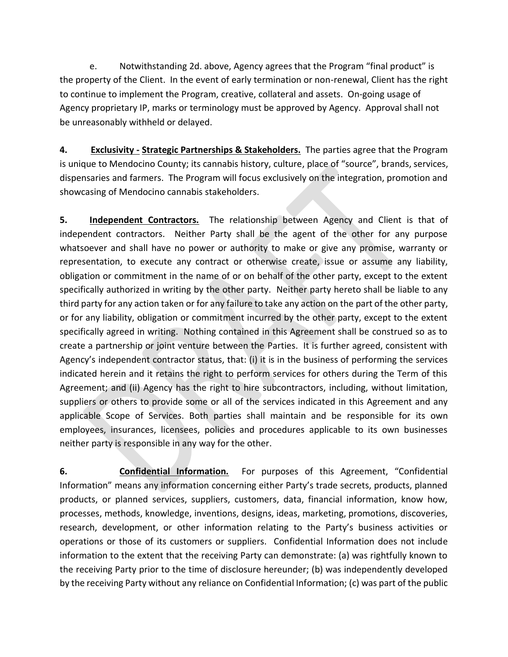e. Notwithstanding 2d. above, Agency agrees that the Program "final product" is the property of the Client. In the event of early termination or non-renewal, Client has the right to continue to implement the Program, creative, collateral and assets. On-going usage of Agency proprietary IP, marks or terminology must be approved by Agency. Approval shall not be unreasonably withheld or delayed.

**4. Exclusivity - Strategic Partnerships & Stakeholders.** The parties agree that the Program is unique to Mendocino County; its cannabis history, culture, place of "source", brands, services, dispensaries and farmers. The Program will focus exclusively on the integration, promotion and showcasing of Mendocino cannabis stakeholders.

**5. Independent Contractors.** The relationship between Agency and Client is that of independent contractors. Neither Party shall be the agent of the other for any purpose whatsoever and shall have no power or authority to make or give any promise, warranty or representation, to execute any contract or otherwise create, issue or assume any liability, obligation or commitment in the name of or on behalf of the other party, except to the extent specifically authorized in writing by the other party. Neither party hereto shall be liable to any third party for any action taken or for any failure to take any action on the part of the other party, or for any liability, obligation or commitment incurred by the other party, except to the extent specifically agreed in writing. Nothing contained in this Agreement shall be construed so as to create a partnership or joint venture between the Parties. It is further agreed, consistent with Agency's independent contractor status, that: (i) it is in the business of performing the services indicated herein and it retains the right to perform services for others during the Term of this Agreement; and (ii) Agency has the right to hire subcontractors, including, without limitation, suppliers or others to provide some or all of the services indicated in this Agreement and any applicable Scope of Services. Both parties shall maintain and be responsible for its own employees, insurances, licensees, policies and procedures applicable to its own businesses neither party is responsible in any way for the other.

**6. Confidential Information.** For purposes of this Agreement, "Confidential Information" means any information concerning either Party's trade secrets, products, planned products, or planned services, suppliers, customers, data, financial information, know how, processes, methods, knowledge, inventions, designs, ideas, marketing, promotions, discoveries, research, development, or other information relating to the Party's business activities or operations or those of its customers or suppliers. Confidential Information does not include information to the extent that the receiving Party can demonstrate: (a) was rightfully known to the receiving Party prior to the time of disclosure hereunder; (b) was independently developed by the receiving Party without any reliance on Confidential Information; (c) was part of the public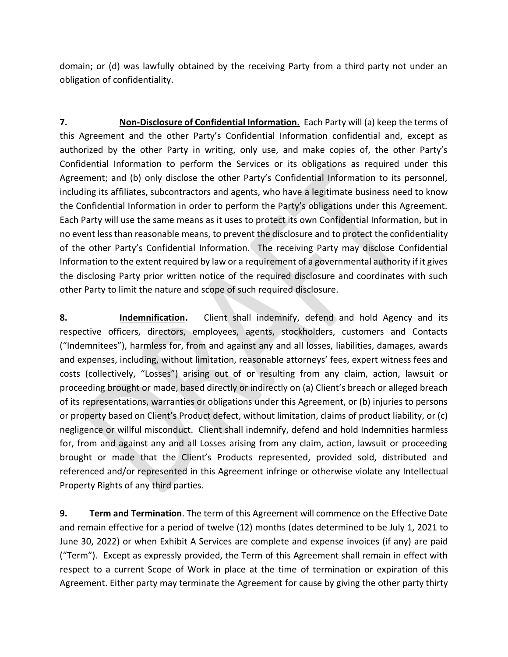domain; or (d) was lawfully obtained by the receiving Party from a third party not under an obligation of confidentiality.

**7. Non-Disclosure of Confidential Information.** Each Party will (a) keep the terms of this Agreement and the other Party's Confidential Information confidential and, except as authorized by the other Party in writing, only use, and make copies of, the other Party's Confidential Information to perform the Services or its obligations as required under this Agreement; and (b) only disclose the other Party's Confidential Information to its personnel, including its affiliates, subcontractors and agents, who have a legitimate business need to know the Confidential Information in order to perform the Party's obligations under this Agreement. Each Party will use the same means as it uses to protect its own Confidential Information, but in no event less than reasonable means, to prevent the disclosure and to protect the confidentiality of the other Party's Confidential Information. The receiving Party may disclose Confidential Information to the extent required by law or a requirement of a governmental authority if it gives the disclosing Party prior written notice of the required disclosure and coordinates with such other Party to limit the nature and scope of such required disclosure.

**8. Indemnification.** Client shall indemnify, defend and hold Agency and its respective officers, directors, employees, agents, stockholders, customers and Contacts ("Indemnitees"), harmless for, from and against any and all losses, liabilities, damages, awards and expenses, including, without limitation, reasonable attorneys' fees, expert witness fees and costs (collectively, "Losses") arising out of or resulting from any claim, action, lawsuit or proceeding brought or made, based directly or indirectly on (a) Client's breach or alleged breach of its representations, warranties or obligations under this Agreement, or (b) injuries to persons or property based on Client's Product defect, without limitation, claims of product liability, or (c) negligence or willful misconduct. Client shall indemnify, defend and hold Indemnities harmless for, from and against any and all Losses arising from any claim, action, lawsuit or proceeding brought or made that the Client's Products represented, provided sold, distributed and referenced and/or represented in this Agreement infringe or otherwise violate any Intellectual Property Rights of any third parties.

**9. Term and Termination**. The term of this Agreement will commence on the Effective Date and remain effective for a period of twelve (12) months (dates determined to be July 1, 2021 to June 30, 2022) or when Exhibit A Services are complete and expense invoices (if any) are paid ("Term"). Except as expressly provided, the Term of this Agreement shall remain in effect with respect to a current Scope of Work in place at the time of termination or expiration of this Agreement. Either party may terminate the Agreement for cause by giving the other party thirty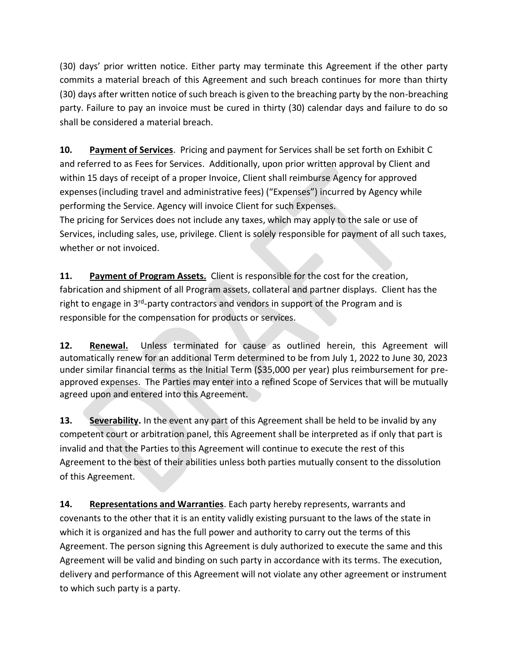(30) days' prior written notice. Either party may terminate this Agreement if the other party commits a material breach of this Agreement and such breach continues for more than thirty (30) days after written notice of such breach is given to the breaching party by the non-breaching party. Failure to pay an invoice must be cured in thirty (30) calendar days and failure to do so shall be considered a material breach.

**10. Payment of Services**. Pricing and payment for Services shall be set forth on Exhibit C and referred to as Fees for Services. Additionally, upon prior written approval by Client and within 15 days of receipt of a proper Invoice, Client shall reimburse Agency for approved expenses(including travel and administrative fees) ("Expenses") incurred by Agency while performing the Service. Agency will invoice Client for such Expenses.

The pricing for Services does not include any taxes, which may apply to the sale or use of Services, including sales, use, privilege. Client is solely responsible for payment of all such taxes, whether or not invoiced.

**11. Payment of Program Assets.** Client is responsible for the cost for the creation, fabrication and shipment of all Program assets, collateral and partner displays. Client has the right to engage in 3<sup>rd</sup>-party contractors and vendors in support of the Program and is responsible for the compensation for products or services.

**12. Renewal.** Unless terminated for cause as outlined herein, this Agreement will automatically renew for an additional Term determined to be from July 1, 2022 to June 30, 2023 under similar financial terms as the Initial Term (\$35,000 per year) plus reimbursement for preapproved expenses. The Parties may enter into a refined Scope of Services that will be mutually agreed upon and entered into this Agreement.

**13. Severability.** In the event any part of this Agreement shall be held to be invalid by any competent court or arbitration panel, this Agreement shall be interpreted as if only that part is invalid and that the Parties to this Agreement will continue to execute the rest of this Agreement to the best of their abilities unless both parties mutually consent to the dissolution of this Agreement.

**14. Representations and Warranties**. Each party hereby represents, warrants and covenants to the other that it is an entity validly existing pursuant to the laws of the state in which it is organized and has the full power and authority to carry out the terms of this Agreement. The person signing this Agreement is duly authorized to execute the same and this Agreement will be valid and binding on such party in accordance with its terms. The execution, delivery and performance of this Agreement will not violate any other agreement or instrument to which such party is a party.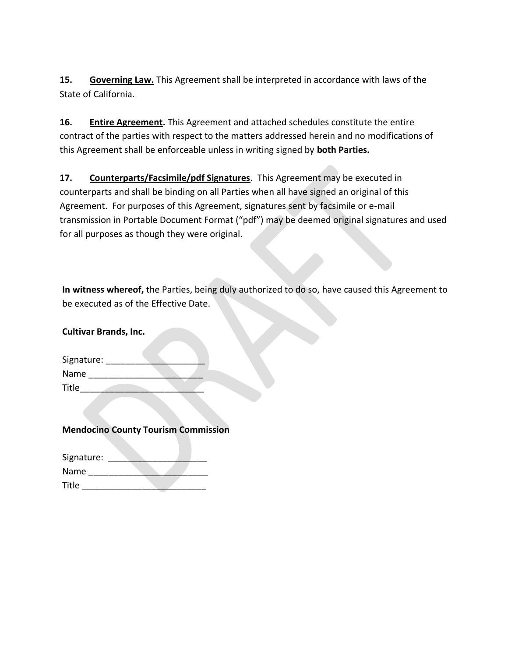**15. Governing Law.** This Agreement shall be interpreted in accordance with laws of the State of California.

**16. Entire Agreement.** This Agreement and attached schedules constitute the entire contract of the parties with respect to the matters addressed herein and no modifications of this Agreement shall be enforceable unless in writing signed by **both Parties.**

**17. Counterparts/Facsimile/pdf Signatures**. This Agreement may be executed in counterparts and shall be binding on all Parties when all have signed an original of this Agreement. For purposes of this Agreement, signatures sent by facsimile or e-mail transmission in Portable Document Format ("pdf") may be deemed original signatures and used for all purposes as though they were original.

**In witness whereof,** the Parties, being duly authorized to do so, have caused this Agreement to be executed as of the Effective Date.

**Cultivar Brands, Inc.**

| Signature:   |  |
|--------------|--|
| Name         |  |
| <b>Title</b> |  |

**Mendocino County Tourism Commission**

| Signature: |  |
|------------|--|
| Name       |  |
| Title      |  |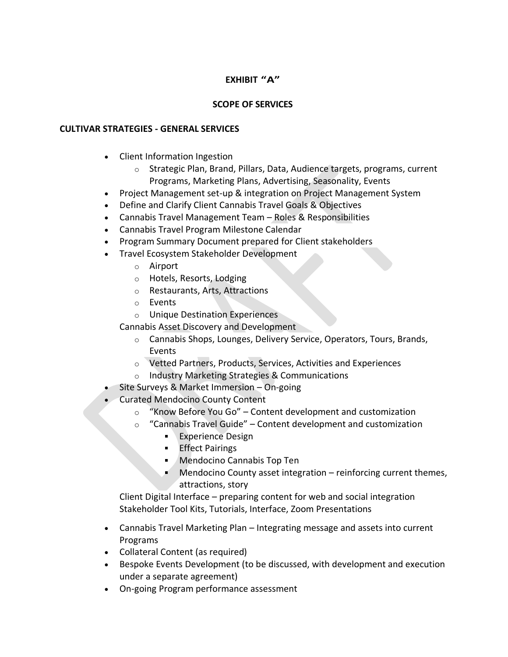# **EXHIBIT "A"**

## **SCOPE OF SERVICES**

#### **CULTIVAR STRATEGIES - GENERAL SERVICES**

- Client Information Ingestion
	- o Strategic Plan, Brand, Pillars, Data, Audience targets, programs, current Programs, Marketing Plans, Advertising, Seasonality, Events
- Project Management set-up & integration on Project Management System
- Define and Clarify Client Cannabis Travel Goals & Objectives
- Cannabis Travel Management Team Roles & Responsibilities
- Cannabis Travel Program Milestone Calendar
- Program Summary Document prepared for Client stakeholders
- Travel Ecosystem Stakeholder Development
	- o Airport
	- o Hotels, Resorts, Lodging
	- o Restaurants, Arts, Attractions
	- o Events
	- o Unique Destination Experiences

Cannabis Asset Discovery and Development

- o Cannabis Shops, Lounges, Delivery Service, Operators, Tours, Brands, Events
- o Vetted Partners, Products, Services, Activities and Experiences
- o Industry Marketing Strategies & Communications
- Site Surveys & Market Immersion On-going
- Curated Mendocino County Content
	- o "Know Before You Go" Content development and customization
	- $\circ$  "Cannabis Travel Guide" Content development and customization
		- **Experience Design**
		- **Effect Pairings**
		- **Mendocino Cannabis Top Ten**
		- **Mendocino County asset integration reinforcing current themes,** attractions, story

Client Digital Interface – preparing content for web and social integration Stakeholder Tool Kits, Tutorials, Interface, Zoom Presentations

- Cannabis Travel Marketing Plan Integrating message and assets into current Programs
- Collateral Content (as required)
- Bespoke Events Development (to be discussed, with development and execution under a separate agreement)
- On-going Program performance assessment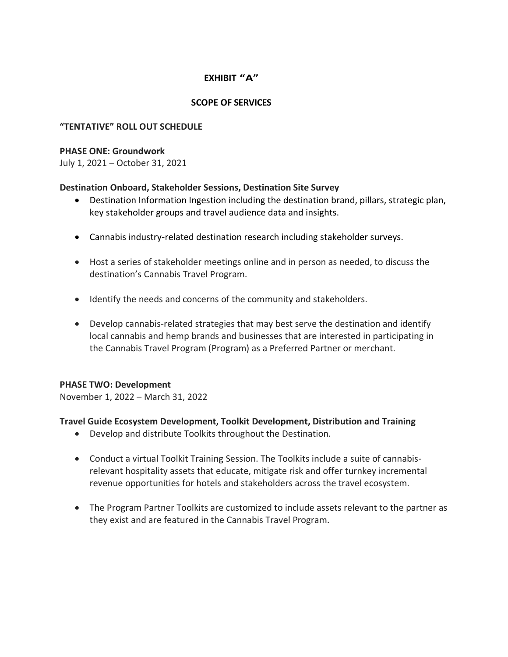# **EXHIBIT "A"**

### **SCOPE OF SERVICES**

#### **"TENTATIVE" ROLL OUT SCHEDULE**

#### **PHASE ONE: Groundwork**

July 1, 2021 – October 31, 2021

#### **Destination Onboard, Stakeholder Sessions, Destination Site Survey**

- Destination Information Ingestion including the destination brand, pillars, strategic plan, key stakeholder groups and travel audience data and insights.
- Cannabis industry-related destination research including stakeholder surveys.
- Host a series of stakeholder meetings online and in person as needed, to discuss the destination's Cannabis Travel Program.
- Identify the needs and concerns of the community and stakeholders.
- Develop cannabis-related strategies that may best serve the destination and identify local cannabis and hemp brands and businesses that are interested in participating in the Cannabis Travel Program (Program) as a Preferred Partner or merchant.

#### **PHASE TWO: Development**

November 1, 2022 – March 31, 2022

#### **Travel Guide Ecosystem Development, Toolkit Development, Distribution and Training**

- Develop and distribute Toolkits throughout the Destination.
- Conduct a virtual Toolkit Training Session. The Toolkits include a suite of cannabisrelevant hospitality assets that educate, mitigate risk and offer turnkey incremental revenue opportunities for hotels and stakeholders across the travel ecosystem.
- The Program Partner Toolkits are customized to include assets relevant to the partner as they exist and are featured in the Cannabis Travel Program.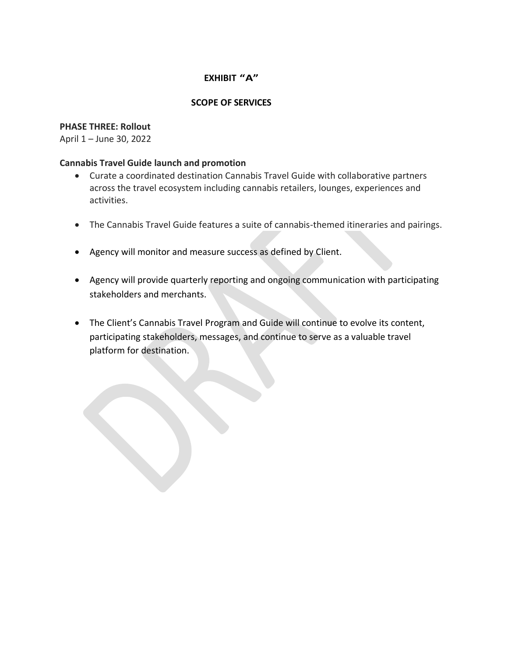# **EXHIBIT "A"**

### **SCOPE OF SERVICES**

#### **PHASE THREE: Rollout**

April 1 – June 30, 2022

#### **Cannabis Travel Guide launch and promotion**

- Curate a coordinated destination Cannabis Travel Guide with collaborative partners across the travel ecosystem including cannabis retailers, lounges, experiences and activities.
- The Cannabis Travel Guide features a suite of cannabis-themed itineraries and pairings.
- Agency will monitor and measure success as defined by Client.
- Agency will provide quarterly reporting and ongoing communication with participating stakeholders and merchants.
- The Client's Cannabis Travel Program and Guide will continue to evolve its content, participating stakeholders, messages, and continue to serve as a valuable travel platform for destination.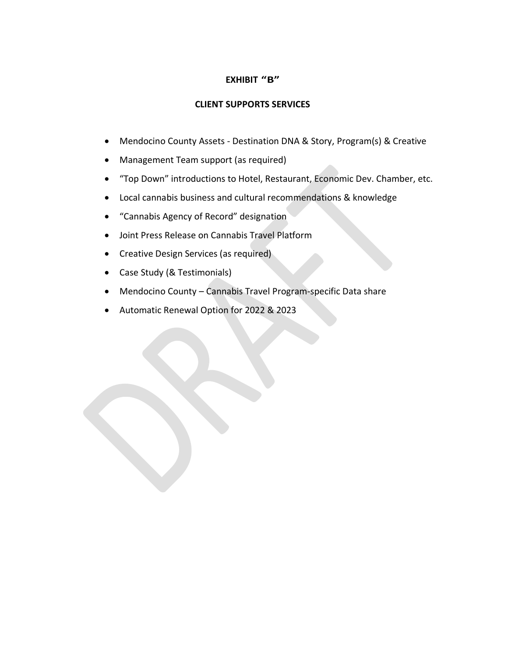## **EXHIBIT "B"**

### **CLIENT SUPPORTS SERVICES**

- Mendocino County Assets Destination DNA & Story, Program(s) & Creative
- Management Team support (as required)
- "Top Down" introductions to Hotel, Restaurant, Economic Dev. Chamber, etc.
- Local cannabis business and cultural recommendations & knowledge
- "Cannabis Agency of Record" designation
- Joint Press Release on Cannabis Travel Platform
- Creative Design Services (as required)
- Case Study (& Testimonials)
- Mendocino County Cannabis Travel Program-specific Data share
- Automatic Renewal Option for 2022 & 2023